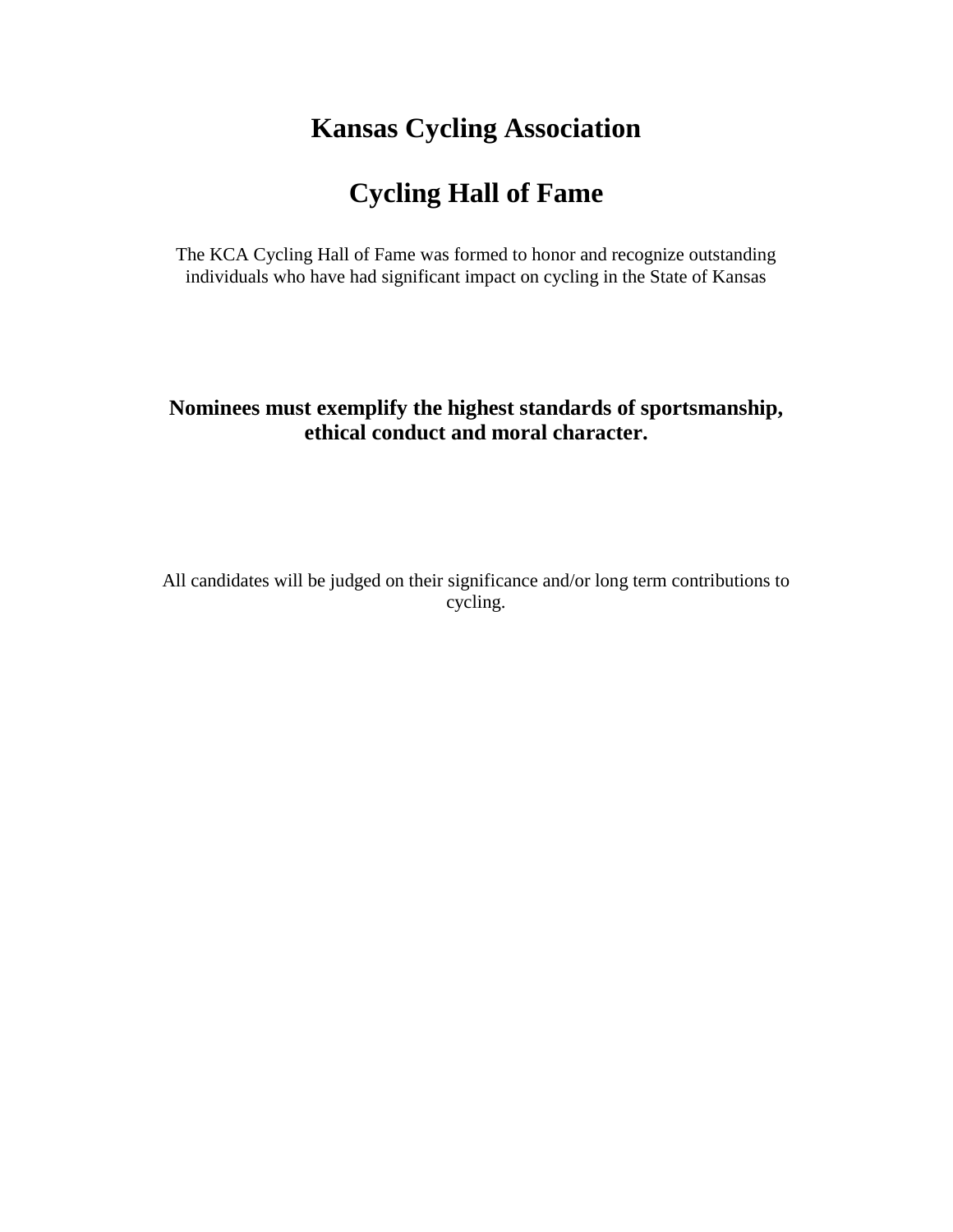### **Kansas Cycling Association**

# **Cycling Hall of Fame**

The KCA Cycling Hall of Fame was formed to honor and recognize outstanding individuals who have had significant impact on cycling in the State of Kansas

### **Nominees must exemplify the highest standards of sportsmanship, ethical conduct and moral character.**

All candidates will be judged on their significance and/or long term contributions to cycling.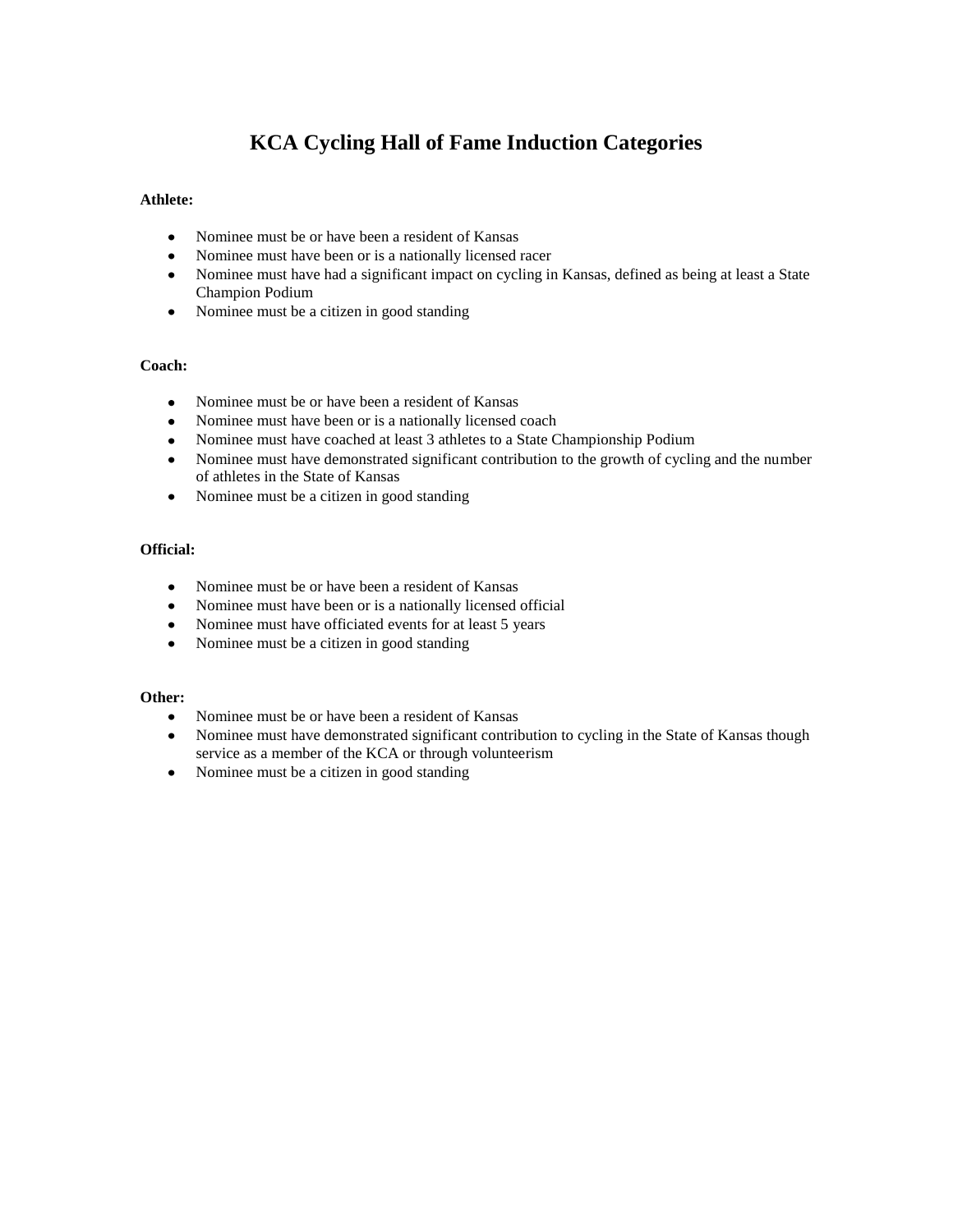### **KCA Cycling Hall of Fame Induction Categories**

#### **Athlete:**

- Nominee must be or have been a resident of Kansas  $\bullet$
- $\bullet$ Nominee must have been or is a nationally licensed racer
- Nominee must have had a significant impact on cycling in Kansas, defined as being at least a State Champion Podium
- Nominee must be a citizen in good standing

#### **Coach:**

- Nominee must be or have been a resident of Kansas  $\bullet$
- Nominee must have been or is a nationally licensed coach  $\bullet$
- Nominee must have coached at least 3 athletes to a State Championship Podium  $\bullet$
- Nominee must have demonstrated significant contribution to the growth of cycling and the number of athletes in the State of Kansas
- Nominee must be a citizen in good standing

### **Official:**

- Nominee must be or have been a resident of Kansas
- Nominee must have been or is a nationally licensed official  $\bullet$
- Nominee must have officiated events for at least 5 years
- Nominee must be a citizen in good standing

#### **Other:**

- $\bullet$ Nominee must be or have been a resident of Kansas
- Nominee must have demonstrated significant contribution to cycling in the State of Kansas though  $\bullet$ service as a member of the KCA or through volunteerism
- Nominee must be a citizen in good standing